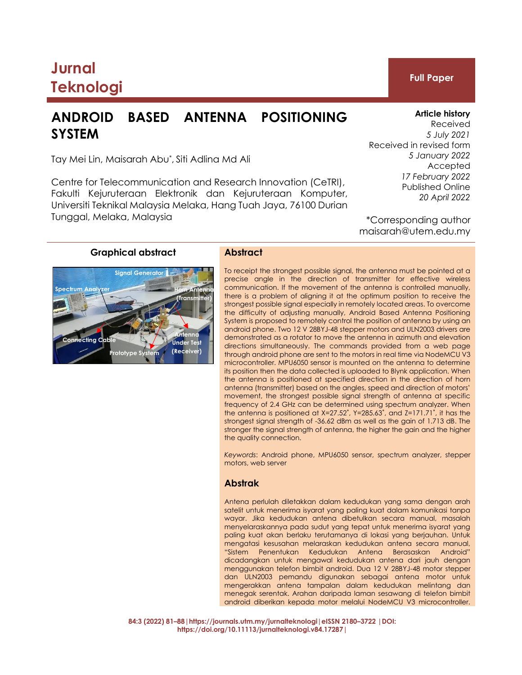# **Jurnal Teknologi Full Paper**

## **ANDROID BASED ANTENNA POSITIONING SYSTEM**

Tay Mei Lin, Maisarah Abu\* , Siti Adlina Md Ali

Centre for Telecommunication and Research Innovation (CeTRI), Fakulti Kejuruteraan Elektronik dan Kejuruteraan Komputer, Universiti Teknikal Malaysia Melaka, Hang Tuah Jaya, 76100 Durian Tunggal, Melaka, Malaysia

To receipt the strongest possible signal, the antenna must be pointed at a precise angle in the direction of transmitter for effective wireless communication. If the movement of the antenna is controlled manually, there is a problem of aligning it at the optimum position to receive the strongest possible signal especially in remotely located areas. To overcome the difficulty of adjusting manually, Android Based Antenna Positioning System is proposed to remotely control the position of antenna by using an android phone. Two 12 V 28BYJ-48 stepper motors and ULN2003 drivers are demonstrated as a rotator to move the antenna in azimuth and elevation directions simultaneously. The commands provided from a web page through android phone are sent to the motors in real time via NodeMCU V3 microcontroller. MPU6050 sensor is mounted on the antenna to determine its position then the data collected is uploaded to Blynk application. When the antenna is positioned at specified direction in the direction of horn antenna (transmitter) based on the angles, speed and direction of motors' movement, the strongest possible signal strength of antenna at specific frequency of 2.4 GHz can be determined using spectrum analyzer. When the antenna is positioned at X=27.52˚, Y=285.63˚, and Z=171.71˚, it has the strongest signal strength of -36.62 dBm as well as the gain of 1.713 dB. The stronger the signal strength of antenna, the higher the gain and the higher the quality connection.

*Keywords*: Android phone, MPU6050 sensor, spectrum analyzer, stepper motors, web server

#### **Abstrak**

Antena perlulah diletakkan dalam kedudukan yang sama dengan arah satelit untuk menerima isyarat yang paling kuat dalam komunikasi tanpa wayar. Jika kedudukan antena dibetulkan secara manual, masalah menyelaraskannya pada sudut yang tepat untuk menerima isyarat yang paling kuat akan berlaku terutamanya di lokasi yang berjauhan. Untuk mengatasi kesusahan melaraskan kedudukan antena secara manual, "Sistem Penentukan Kedudukan Antena Berasaskan Android" dicadangkan untuk mengawal kedudukan antena dari jauh dengan menggunakan telefon bimbit android. Dua 12 V 28BYJ-48 motor stepper dan ULN2003 pemandu digunakan sebagai antena motor untuk mengerakkan antena tampalan dalam kedudukan melintang dan menegak serentak. Arahan daripada laman sesawang di telefon bimbit android diberikan kepada motor melalui NodeMCU V3 microcontroller.

**84:3 (2022) 81–88|https://journals.utm.my/jurnalteknologi|eISSN 2180–3722 |DOI: https://doi.org/10.11113/jurnalteknologi.v84.17287|**

### **Graphical abstract Abstract**

#### **Article history**

Received *5 July 2021* Received in revised form *5 January 2022* Accepted *17 February 2022* Published Online *20 April 2022*

\*Corresponding author maisarah@utem.edu.my



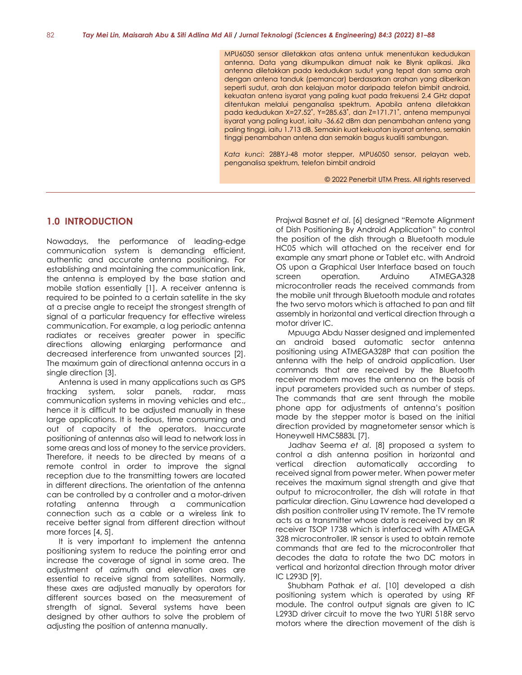MPU6050 sensor diletakkan atas antena untuk menentukan kedudukan antenna. Data yang dikumpulkan dimuat naik ke Blynk aplikasi. Jika antenna diletakkan pada kedudukan sudut yang tepat dan sama arah dengan antena tanduk (pemancar) berdasarkan arahan yang diberikan seperti sudut, arah dan kelajuan motor daripada telefon bimbit android, kekuatan antena isyarat yang paling kuat pada frekuensi 2.4 GHz dapat ditentukan melalui penganalisa spektrum. Apabila antena diletakkan pada kedudukan X=27.52˚, Y=285.63˚, dan Z=171.71˚, antena mempunyai isyarat yang paling kuat, iaitu -36.62 dBm dan penambahan antena yang paling tinggi, iaitu 1.713 dB. Semakin kuat kekuatan isyarat antena, semakin tinggi penambahan antena dan semakin bagus kualiti sambungan.

*Kata kunci*: 28BYJ-48 motor stepper, MPU6050 sensor, pelayan web, penganalisa spektrum, telefon bimbit android

© 2022 Penerbit UTM Press. All rights reserved

#### **1.0 INTRODUCTION**

Nowadays, the performance of leading-edge communication system is demanding efficient, authentic and accurate antenna positioning. For establishing and maintaining the communication link, the antenna is employed by the base station and mobile station essentially [1]. A receiver antenna is required to be pointed to a certain satellite in the sky at a precise angle to receipt the strongest strength of signal of a particular frequency for effective wireless communication. For example, a log periodic antenna radiates or receives greater power in specific directions allowing enlarging performance and decreased interference from unwanted sources [2]. The maximum gain of directional antenna occurs in a single direction [3].

Antenna is used in many applications such as GPS tracking system, solar panels, radar, mass communication systems in moving vehicles and etc., hence it is difficult to be adjusted manually in these large applications. It is tedious, time consuming and out of capacity of the operators. Inaccurate positioning of antennas also will lead to network loss in some areas and loss of money to the service providers. Therefore, it needs to be directed by means of a remote control in order to improve the signal reception due to the transmitting towers are located in different directions. The orientation of the antenna can be controlled by a controller and a motor-driven rotating antenna through a communication connection such as a cable or a wireless link to receive better signal from different direction without more forces [4, 5].

It is very important to implement the antenna positioning system to reduce the pointing error and increase the coverage of signal in some area. The adjustment of azimuth and elevation axes are essential to receive signal from satellites. Normally, these axes are adjusted manually by operators for different sources based on the measurement of strength of signal. Several systems have been designed by other authors to solve the problem of adjusting the position of antenna manually.

Prajwal Basnet *et al*. [6] designed "Remote Alignment of Dish Positioning By Android Application" to control the position of the dish through a Bluetooth module HC05 which will attached on the receiver end for example any smart phone or Tablet etc. with Android OS upon a Graphical User Interface based on touch screen operation. Arduino ATMEGA328 microcontroller reads the received commands from the mobile unit through Bluetooth module and rotates the two servo motors which is attached to pan and tilt assembly in horizontal and vertical direction through a motor driver IC.

Mpuuga Abdu Nasser designed and implemented an android based automatic sector antenna positioning using ATMEGA328P that can position the antenna with the help of android application. User commands that are received by the Bluetooth receiver modem moves the antenna on the basis of input parameters provided such as number of steps. The commands that are sent through the mobile phone app for adjustments of antenna's position made by the stepper motor is based on the initial direction provided by magnetometer sensor which is Honeywell HMC5883L [7].

Jadhav Seema *et al*. [8] proposed a system to control a dish antenna position in horizontal and vertical direction automatically according to received signal from power meter. When power meter receives the maximum signal strength and give that output to microcontroller, the dish will rotate in that particular direction. Ginu Lawrence had developed a dish position controller using TV remote. The TV remote acts as a transmitter whose data is received by an IR receiver TSOP 1738 which is interfaced with ATMEGA 328 microcontroller. IR sensor is used to obtain remote commands that are fed to the microcontroller that decodes the data to rotate the two DC motors in vertical and horizontal direction through motor driver IC L293D [9].

Shubham Pathak *et al*. [10] developed a dish positioning system which is operated by using RF module. The control output signals are given to IC L293D driver circuit to move the two YURI 518R servo motors where the direction movement of the dish is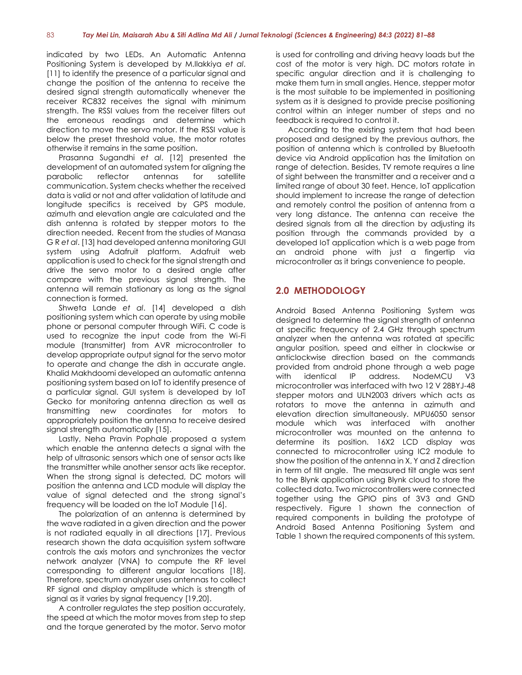indicated by two LEDs. An Automatic Antenna Positioning System is developed by M.Ilakkiya *et al*. [11] to identify the presence of a particular signal and change the position of the antenna to receive the desired signal strength automatically whenever the receiver RC832 receives the signal with minimum strength. The RSSI values from the receiver filters out the erroneous readings and determine which direction to move the servo motor. If the RSSI value is below the preset threshold value, the motor rotates otherwise it remains in the same position.

Prasanna Sugandhi *et al*. [12] presented the development of an automated system for aligning the parabolic reflector antennas for satellite communication. System checks whether the received data is valid or not and after validation of latitude and longitude specifics is received by GPS module, azimuth and elevation angle are calculated and the dish antenna is rotated by stepper motors to the direction needed. Recent from the studies of Manasa G R *et al*. [13] had developed antenna monitoring GUI system using Adafruit platform. Adafruit web application is used to check for the signal strength and drive the servo motor to a desired angle after compare with the previous signal strength. The antenna will remain stationary as long as the signal connection is formed.

Shweta Lande *et al*. [14] developed a dish positioning system which can operate by using mobile phone or personal computer through WiFi. C code is used to recognize the input code from the Wi-Fi module (transmitter) from AVR microcontroller to develop appropriate output signal for the servo motor to operate and change the dish in accurate angle. Khalid Makhdoomi developed an automatic antenna positioning system based on IoT to identify presence of a particular signal. GUI system is developed by IoT Gecko for monitoring antenna direction as well as transmitting new coordinates for motors to appropriately position the antenna to receive desired signal strength automatically [15].

Lastly, Neha Pravin Pophale proposed a system which enable the antenna detects a signal with the help of ultrasonic sensors which one of sensor acts like the transmitter while another sensor acts like receptor. When the strong signal is detected, DC motors will position the antenna and LCD module will display the value of signal detected and the strong signal's frequency will be loaded on the IoT Module [16].

The polarization of an antenna is determined by the wave radiated in a given direction and the power is not radiated equally in all directions [17]. Previous research shown the data acquisition system software controls the axis motors and synchronizes the vector network analyzer (VNA) to compute the RF level corresponding to different angular locations [18]. Therefore, spectrum analyzer uses antennas to collect RF signal and display amplitude which is strength of signal as it varies by signal frequency [19,20].

A controller regulates the step position accurately, the speed at which the motor moves from step to step and the torque generated by the motor. Servo motor is used for controlling and driving heavy loads but the cost of the motor is very high. DC motors rotate in specific angular direction and it is challenging to make them turn in small angles. Hence, stepper motor is the most suitable to be implemented in positioning system as it is designed to provide precise positioning control within an integer number of steps and no feedback is required to control it.

According to the existing system that had been proposed and designed by the previous authors, the position of antenna which is controlled by Bluetooth device via Android application has the limitation on range of detection. Besides, TV remote requires a line of sight between the transmitter and a receiver and a limited range of about 30 feet. Hence, IoT application should implement to increase the range of detection and remotely control the position of antenna from a very long distance. The antenna can receive the desired signals from all the direction by adjusting its position through the commands provided by a developed IoT application which is a web page from an android phone with just a fingertip via microcontroller as it brings convenience to people.

#### **2.0 METHODOLOGY**

Android Based Antenna Positioning System was designed to determine the signal strength of antenna at specific frequency of 2.4 GHz through spectrum analyzer when the antenna was rotated at specific angular position, speed and either in clockwise or anticlockwise direction based on the commands provided from android phone through a web page with identical IP address. NodeMCU V3 microcontroller was interfaced with two 12 V 28BYJ-48 stepper motors and ULN2003 drivers which acts as rotators to move the antenna in azimuth and elevation direction simultaneously. MPU6050 sensor module which was interfaced with another microcontroller was mounted on the antenna to determine its position. 16X2 LCD display was connected to microcontroller using IC2 module to show the position of the antenna in X, Y and Z direction in term of tilt angle. The measured tilt angle was sent to the Blynk application using Blynk cloud to store the collected data. Two microcontrollers were connected together using the GPIO pins of 3V3 and GND respectively. Figure 1 shown the connection of required components in building the prototype of Android Based Antenna Positioning System and Table 1 shown the required components of this system.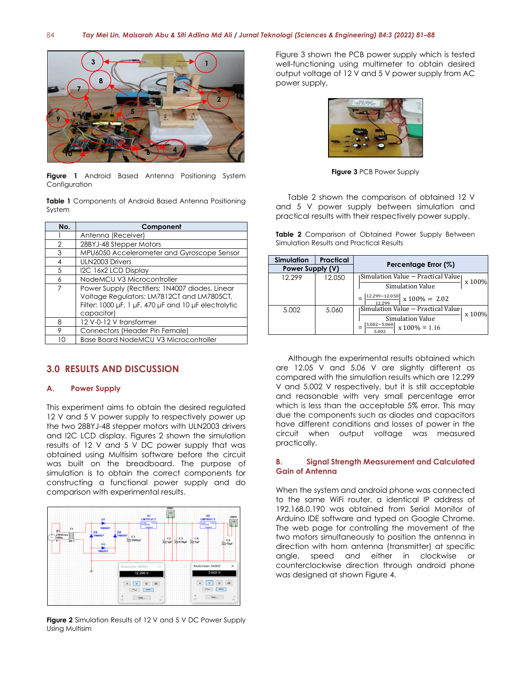

**Figure 1** Android Based Antenna Positioning System Configuration

**Table 1** Components of Android Based Antenna Positioning System

| No.           | Component                                                                                                                                                           |  |  |  |
|---------------|---------------------------------------------------------------------------------------------------------------------------------------------------------------------|--|--|--|
|               | Antenna (Receiver)                                                                                                                                                  |  |  |  |
| $\mathcal{P}$ | 28BYJ-48 Stepper Motors                                                                                                                                             |  |  |  |
| 3             | MPU6050 Accelerometer and Gyroscope Sensor                                                                                                                          |  |  |  |
| 4             | ULN2003 Drivers                                                                                                                                                     |  |  |  |
| .5            | I2C 16x2 LCD Display                                                                                                                                                |  |  |  |
| 6             | NodeMCU V3 Microcontroller                                                                                                                                          |  |  |  |
| 7             | Power Supply (Rectifiers: 1N4007 diodes, Linear<br>Voltage Regulators: LM7812CT and LM7805CT,<br>Filter: 1000 µF, 1 µF, 470 µF and 10 µF electrolytic<br>capacitor) |  |  |  |
| 8             | 12 V-0-12 V transformer                                                                                                                                             |  |  |  |
| 9             | Connectors (Header Pin Female)                                                                                                                                      |  |  |  |
|               | <b>Base Board NodeMCU V3 Microcontroller</b>                                                                                                                        |  |  |  |

#### **3.0 RESULTS AND DISCUSSION**

#### **A. Power Supply**

This experiment aims to obtain the desired regulated 12 V and 5 V power supply to respectively power up the two 28BYJ-48 stepper motors with ULN2003 drivers and I2C LCD display. Figures 2 shown the simulation results of 12 V and 5 V DC power supply that was obtained using Multisim software before the circuit was built on the breadboard. The purpose of simulation is to obtain the correct components for constructing a functional power supply and do comparison with experimental results.



**Figure 2** Simulation Results of 12 V and 5 V DC Power Supply Using Multisim

Figure 3 shown the PCB power supply which is tested well-functioning using multimeter to obtain desired output voltage of 12 V and 5 V power supply from AC power supply.



**Figure 3** PCB Power Supply

Table 2 shown the comparison of obtained 12 V and 5 V power supply between simulation and practical results with their respectively power supply.

**Table 2** Comparison of Obtained Power Supply Between Simulation Results and Practical Results

| Simulation       | <b>Practical</b> | Percentage Error (%)                          |  |
|------------------|------------------|-----------------------------------------------|--|
| Power Supply (V) |                  |                                               |  |
| 12.299           | 12.050           | Simulation Value – Practical Value <br>x 100% |  |
|                  |                  | Simulation Value                              |  |
|                  |                  | 12.299-12.050<br>$x 100\% = 2.02$<br>12.299   |  |
| 5.002            | 5.060            | Simulation Value – Practical Value <br>x 100% |  |
|                  |                  | <b>Simulation Value</b>                       |  |
|                  |                  | $5.002 - 5.060$<br>$x 100\% = 1.16$<br>5.002  |  |

Although the experimental results obtained which are 12.05 V and 5.06 V are slightly different as compared with the simulation results which are 12.299 V and 5.002 V respectively, but it is still acceptable and reasonable with very small percentage error which is less than the acceptable 5% error. This may due the components such as diodes and capacitors have different conditions and losses of power in the circuit when output voltage was measured practically.

#### **B. Signal Strength Measurement and Calculated Gain of Antenna**

When the system and android phone was connected to the same WiFi router, a identical IP address of 192.168.0.190 was obtained from Serial Monitor of Arduino IDE software and typed on Google Chrome. The web page for controlling the movement of the two motors simultaneously to position the antenna in direction with horn antenna (transmitter) at specific angle, speed and either in clockwise or counterclockwise direction through android phone was designed at shown Figure 4.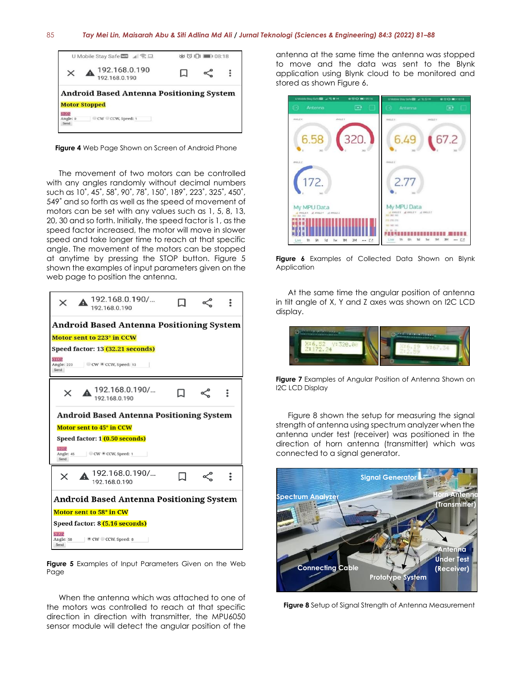

**Figure 4** Web Page Shown on Screen of Android Phone

The movement of two motors can be controlled with any angles randomly without decimal numbers such as 10˚, 45˚, 58˚, 90˚, 78˚, 150˚, 189˚, 223˚, 325˚, 450˚, 549˚ and so forth as well as the speed of movement of motors can be set with any values such as 1, 5, 8, 13, 20, 30 and so forth. Initially, the speed factor is 1, as the speed factor increased, the motor will move in slower speed and take longer time to reach at that specific angle. The movement of the motors can be stopped at anytime by pressing the STOP button. Figure 5 shown the examples of input parameters given on the web page to position the antenna.



**Figure 5** Examples of Input Parameters Given on the Web Page

When the antenna which was attached to one of the motors was controlled to reach at that specific direction in direction with transmitter, the MPU6050 sensor module will detect the angular position of the antenna at the same time the antenna was stopped to move and the data was sent to the Blynk application using Blynk cloud to be monitored and stored as shown Figure 6.



**Figure 6** Examples of Collected Data Shown on Blynk Application

At the same time the angular position of antenna in tilt angle of X, Y and Z axes was shown on I2C LCD display.



**Figure 7** Examples of Angular Position of Antenna Shown on I2C LCD Display

Figure 8 shown the setup for measuring the signal strength of antenna using spectrum analyzer when the antenna under test (receiver) was positioned in the direction of horn antenna (transmitter) which was connected to a signal generator.



**Figure 8** Setup of Signal Strength of Antenna Measurement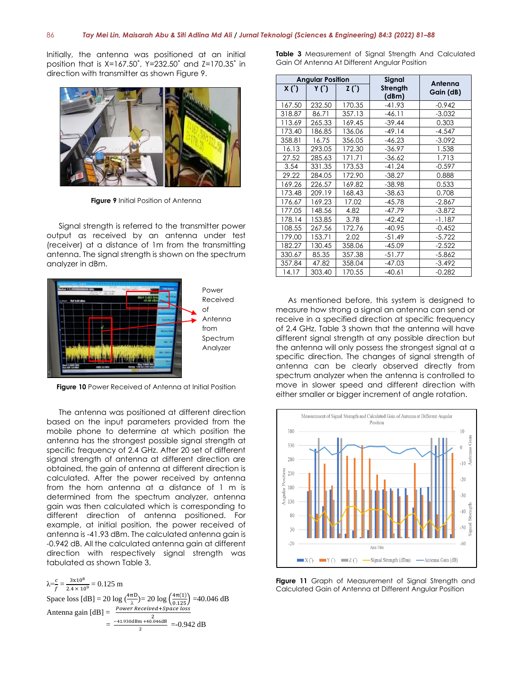Initially, the antenna was positioned at an initial position that is X=167.50˚, Y=232.50˚ and Z=170.35˚ in direction with transmitter as shown Figure 9.



**Figure 9** Initial Position of Antenna

Signal strength is referred to the transmitter power output as received by an antenna under test (receiver) at a distance of 1m from the transmitting antenna. The signal strength is shown on the spectrum analyzer in dBm.



**Figure 10** Power Received of Antenna at Initial Position

The antenna was positioned at different direction based on the input parameters provided from the mobile phone to determine at which position the antenna has the strongest possible signal strength at specific frequency of 2.4 GHz. After 20 set of different signal strength of antenna at different direction are obtained, the gain of antenna at different direction is calculated. After the power received by antenna from the horn antenna at a distance of 1 m is determined from the spectrum analyzer, antenna gain was then calculated which is corresponding to different direction of antenna positioned. For example, at initial position, the power received of antenna is -41.93 dBm. The calculated antenna gain is -0.942 dB. All the calculated antenna gain at different direction with respectively signal strength was tabulated as shown Table 3.

 $\lambda = \frac{c}{f} = \frac{3 \times 10^8}{2.4 \times 10^9} = 0.125$  m Space loss  $[dB] = 20 \log \left( \frac{4\pi D}{\lambda} \right) = 20 \log \left( \frac{4\pi (1)}{0.125} \right) = 40.046 dB$ λ Antenna gain  $[dB] = \frac{Power\,Received + Space\,loss}{2}$  $= \frac{-41.930 \text{dBm} + 40.046 \text{dB}}{2}$  $\frac{m+40.046 \text{dB}}{2}$  =-0.942 dB

**Table 3** Measurement of Signal Strength And Calculated Gain Of Antenna At Different Angular Position

| <b>Angular Position</b> |        |        | Signal            | Antenna   |
|-------------------------|--------|--------|-------------------|-----------|
| X(')                    | Y (*)  | Z(')   | Strength<br>(dBm) | Gain (dB) |
| 167.50                  | 232.50 | 170.35 | $-41.93$          | $-0.942$  |
| 318.87                  | 86.71  | 357.13 | $-46.11$          | $-3.032$  |
| 113.69                  | 265.33 | 169.45 | $-39.44$          | 0.303     |
| 173.40                  | 186.85 | 136.06 | $-49.14$          | $-4.547$  |
| 358.81                  | 16.75  | 356.05 | $-46.23$          | $-3.092$  |
| 16.13                   | 293.05 | 172.30 | $-36.97$          | 1.538     |
| 27.52                   | 285.63 | 171.71 | $-36.62$          | 1.713     |
| 3.54                    | 331.35 | 173.53 | $-41.24$          | $-0.597$  |
| 29.22                   | 284.05 | 172.90 | $-38.27$          | 0.888     |
| 169.26                  | 226.57 | 169.82 | $-38.98$          | 0.533     |
| 173.48                  | 209.19 | 168.43 | $-38.63$          | 0.708     |
| 176.67                  | 169.23 | 17.02  | $-45.78$          | $-2.867$  |
| 177.05                  | 148.56 | 4.82   | $-47.79$          | $-3.872$  |
| 178.14                  | 153.85 | 3.78   | $-42.42$          | $-1.187$  |
| 108.55                  | 267.56 | 172.76 | $-40.95$          | $-0.452$  |
| 179.00                  | 153.71 | 2.02   | $-51.49$          | $-5.722$  |
| 182.27                  | 130.45 | 358.06 | $-45.09$          | $-2.522$  |
| 330.67                  | 85.35  | 357.38 | $-51.77$          | $-5.862$  |
| 357.84                  | 47.82  | 358.04 | $-47.03$          | $-3.492$  |
| 14.17                   | 303.40 | 170.55 | $-40.61$          | $-0.282$  |

As mentioned before, this system is designed to measure how strong a signal an antenna can send or receive in a specified direction at specific frequency of 2.4 GHz. Table 3 shown that the antenna will have different signal strength at any possible direction but the antenna will only possess the strongest signal at a specific direction. The changes of signal strength of antenna can be clearly observed directly from spectrum analyzer when the antenna is controlled to move in slower speed and different direction with either smaller or bigger increment of angle rotation.



**Figure 11** Graph of Measurement of Signal Strength and Calculated Gain of Antenna at Different Angular Position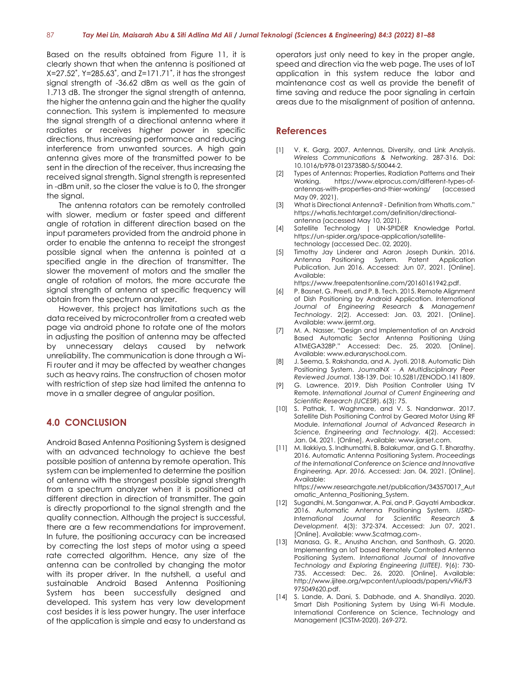Based on the results obtained from Figure 11, it is clearly shown that when the antenna is positioned at X=27.52˚, Y=285.63˚, and Z=171.71˚, it has the strongest signal strength of -36.62 dBm as well as the gain of 1.713 dB. The stronger the signal strength of antenna, the higher the antenna gain and the higher the quality connection. This system is implemented to measure the signal strength of a directional antenna where it radiates or receives higher power in specific directions, thus increasing performance and reducing interference from unwanted sources. A high gain antenna gives more of the transmitted power to be sent in the direction of the receiver, thus increasing the received signal strength. Signal strength is represented in -dBm unit, so the closer the value is to 0, the stronger the signal.

The antenna rotators can be remotely controlled with slower, medium or faster speed and different angle of rotation in different direction based on the input parameters provided from the android phone in order to enable the antenna to receipt the strongest possible signal when the antenna is pointed at a specified angle in the direction of transmitter. The slower the movement of motors and the smaller the angle of rotation of motors, the more accurate the signal strength of antenna at specific frequency will obtain from the spectrum analyzer.

However, this project has limitations such as the data received by microcontroller from a created web page via android phone to rotate one of the motors in adjusting the position of antenna may be affected by unnecessary delays caused by network unreliability. The communication is done through a Wi-Fi router and it may be affected by weather changes such as heavy rains. The construction of chosen motor with restriction of step size had limited the antenna to move in a smaller degree of angular position.

#### **4.0 CONCLUSION**

Android Based Antenna Positioning System is designed with an advanced technology to achieve the best possible position of antenna by remote operation. This system can be implemented to determine the position of antenna with the strongest possible signal strength from a spectrum analyzer when it is positioned at different direction in direction of transmitter. The gain is directly proportional to the signal strength and the quality connection. Although the project is successful, there are a few recommendations for improvement. In future, the positioning accuracy can be increased by correcting the lost steps of motor using a speed rate corrected algorithm. Hence, any size of the antenna can be controlled by changing the motor with its proper driver. In the nutshell, a useful and sustainable Android Based Antenna Positioning System has been successfully designed and developed. This system has very low development cost besides it is less power hungry. The user interface of the application is simple and easy to understand as

operators just only need to key in the proper angle, speed and direction via the web page. The uses of IoT application in this system reduce the labor and maintenance cost as well as provide the benefit of time saving and reduce the poor signaling in certain areas due to the misalignment of position of antenna.

#### **References**

- [1] V. K. Garg. 2007. Antennas, Diversity, and Link Analysis. *Wireless Communications & Networking*. 287-316. Doi: 10.1016/b978-012373580-5/50044-2.
- [2] Types of Antennas: Properties, Radiation Patterns and Their Working. https://www.elprocus.com/different-types-ofantennas-with-properties-and-thier-working/ (accessed May 09, 2021).
- [3] What is Directional Antenna? Definition from WhatIs.com." https://whatis.techtarget.com/definition/directionalantenna (accessed May 10, 2021).
- [4] Satellite Technology | UN-SPIDER Knowledge Portal. https://un-spider.org/space-application/satellitetechnology (accessed Dec. 02, 2020).
- [5] Timothy Jay Linderer and Aaron Joseph Dunkin. 2016. Antenna Positioning System. Patent Application Publication, Jun 2016. Accessed: Jun 07, 2021. [Online]. Available:

https://www.freepatentsonline.com/20160161942.pdf.

- [6] P. Basnet, G. Preeti, and P. B. Tech. 2015. Remote Alignment of Dish Positioning by Android Application. *International Journal of Engineering Research & Management Technology*. 2(2). Accessed: Jan. 03, 2021. [Online]. Available[: www.ijermt.org.](http://www.ijermt.org/)
- [7] M. A. Nasser, "Design and Implementation of an Android Based Automatic Sector Antenna Positioning Using ATMEGA328P." Accessed: Dec. 25, 2020. [Online]. Available: www.eduraryschool.com.
- [8] J. Seema, S. Rakshanda, and A. Jyoti. 2018. Automatic Dish Positioning System. *JournalNX - A Multidisciplinary Peer Reviewed Journal*. 138-139. Doi: 10.5281/ZENODO.1411809.
- [9] G. Lawrence. 2019. Dish Position Controller Using TV Remote. *International Journal of Current Engineering and Scientific Research (IJCESR*). 6(3): 75.
- [10] S. Pathak, T. Waghmare, and V. S. Nandanwar. 2017. Satellite Dish Positioning Control by Geared Motor Using RF Module. *International Journal of Advanced Research in Science, Engineering and Technology.* 4(2). Accessed: Jan. 04, 2021. [Online]. Available: www.ijarset.com.
- [11] M. Ilakkiya, S. Indhumathi, B. Balakumar, and G. T. Bharathy. 2016. Automatic Antenna Positioning System. *Proceedings of the International Conference on Science and Innovative Engineering, Apr. 2016.* Accessed: Jan. 04, 2021. [Online]. Available:

https://www.researchgate.net/publication/343570017\_Aut omatic\_Antenna\_Positioning\_System.

- [12] Sugandhi, M. Sanganwar, A. Pai, and P. Gayatri Ambadkar. 2016. Automatic Antenna Positioning System. *IJSRD-International Journal for Scientific Research & Development.* 4(3): 372-374. Accessed: Jun 07, 2021. [Online]. Available: www.Scatmag.com-.
- [13] Manasa, G. R., Anusha Anchan, and Santhosh, G. 2020. Implementing an IoT based Remotely Controlled Antenna Positioning System. *International Journal of Innovative Technology and Exploring Engineering (IJITEE).* 9(6): 730- 735. Accessed: Dec. 26, 2020. [Online]. Available: http://www.ijitee.org/wpcontent/uploads/papers/v9i6/F3 975049620.pdf.
- [14] S. Lande, A. Dani, S. Dabhade, and A. Shandilya. 2020. Smart Dish Positioning System by Using Wi-Fi Module. International Conference on Science, Technology and Management (ICSTM-2020). 269-272.